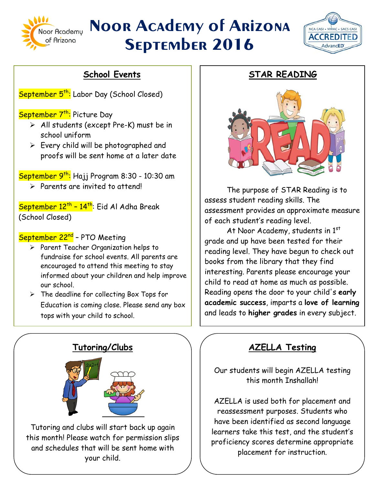

# **Noor Academy of Arizona September 2016**

 $\overline{1}$ 



## **School Events**

September 5<sup>th</sup>: Labor Day (School Closed)

September 7<sup>th</sup>: Picture Day

- $\triangleright$  All students (except Pre-K) must be in school uniform
- $\triangleright$  Every child will be photographed and proofs will be sent home at a later date

September 9<sup>th</sup>: Hajj Program 8:30 - 10:30 am

 $\triangleright$  Parents are invited to attend!

September 12<sup>th</sup> - 14<sup>th</sup>: Eid Al Adha Break (School Closed)

#### September 22<sup>nd</sup> - PTO Meeting

- $\triangleright$  Parent Teacher Organization helps to fundraise for school events. All parents are encouraged to attend this meeting to stay informed about your children and help improve our school.
- $\triangleright$  The deadline for collecting Box Tops for Education is coming close. Please send any box tops with your child to school.



Tutoring and clubs will start back up again this month! Please watch for permission slips and schedules that will be sent home with your child.

### **STAR READING**



The purpose of STAR Reading is to assess student reading skills. The assessment provides an approximate measure of each student's reading level.

At Noor Academy, students in 1st grade and up have been tested for their reading level. They have begun to check out books from the library that they find interesting. Parents please encourage your child to read at home as much as possible. Reading opens the door to your child's **early academic success**, imparts a **love of learning**  and leads to **higher grades** in every subject.

## **AZELLA Testing**

Our students will begin AZELLA testing this month Inshallah!

AZELLA is used both for placement and reassessment purposes. Students who have been identified as second language learners take this test, and the student's proficiency scores determine appropriate placement for instruction.